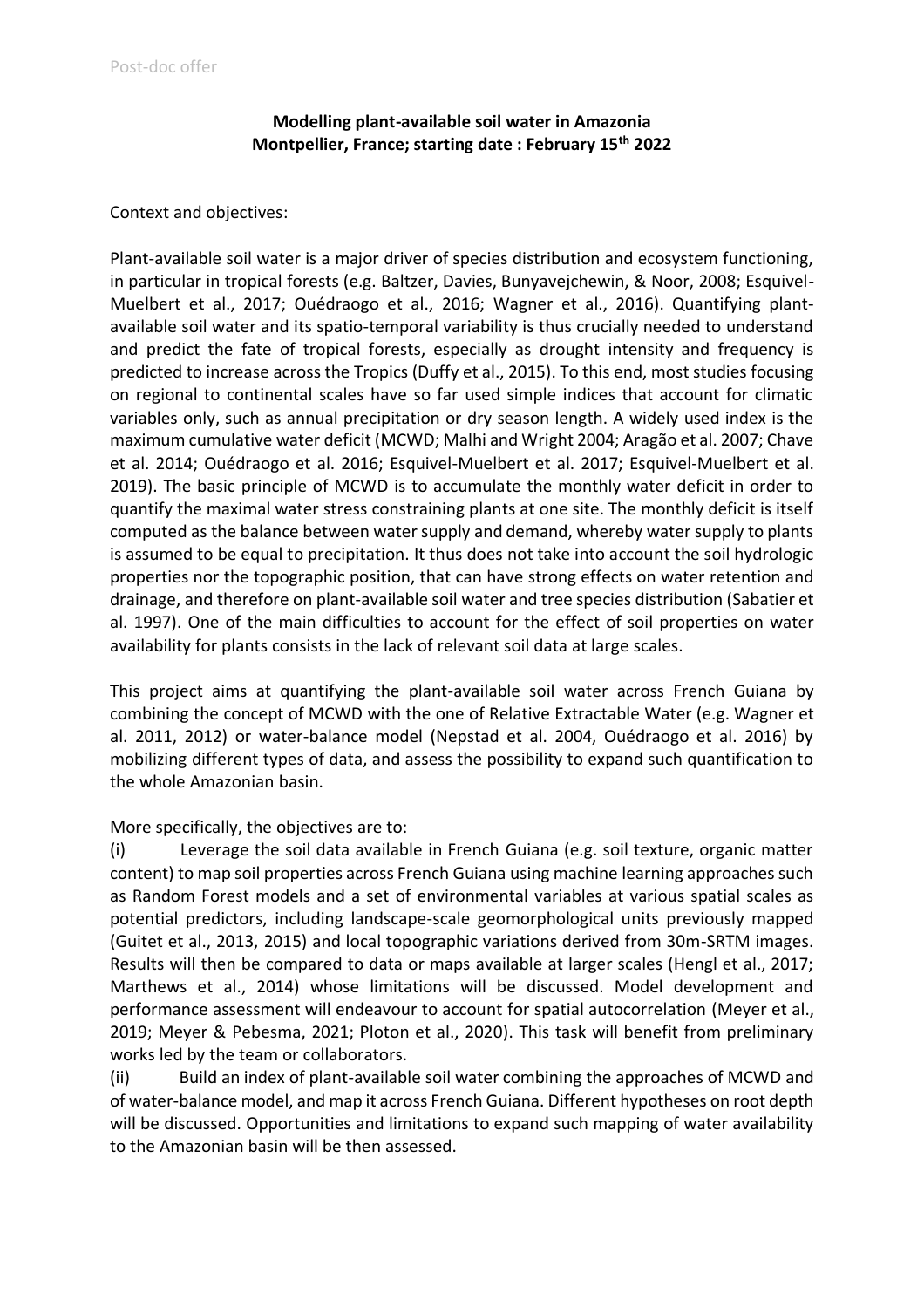# **Modelling plant-available soil water in Amazonia Montpellier, France; starting date : February 15th 2022**

#### Context and objectives:

Plant-available soil water is a major driver of species distribution and ecosystem functioning, in particular in tropical forests (e.g. Baltzer, Davies, Bunyavejchewin, & Noor, 2008; Esquivel-Muelbert et al., 2017; Ouédraogo et al., 2016; Wagner et al., 2016). Quantifying plantavailable soil water and its spatio-temporal variability is thus crucially needed to understand and predict the fate of tropical forests, especially as drought intensity and frequency is predicted to increase across the Tropics (Duffy et al., 2015). To this end, most studies focusing on regional to continental scales have so far used simple indices that account for climatic variables only, such as annual precipitation or dry season length. A widely used index is the maximum cumulative water deficit (MCWD; Malhi and Wright 2004; Aragão et al. 2007; Chave et al. 2014; Ouédraogo et al. 2016; Esquivel-Muelbert et al. 2017; Esquivel‐Muelbert et al. 2019). The basic principle of MCWD is to accumulate the monthly water deficit in order to quantify the maximal water stress constraining plants at one site. The monthly deficit is itself computed as the balance between water supply and demand, whereby water supply to plants is assumed to be equal to precipitation. It thus does not take into account the soil hydrologic properties nor the topographic position, that can have strong effects on water retention and drainage, and therefore on plant-available soil water and tree species distribution (Sabatier et al. 1997). One of the main difficulties to account for the effect of soil properties on water availability for plants consists in the lack of relevant soil data at large scales.

This project aims at quantifying the plant-available soil water across French Guiana by combining the concept of MCWD with the one of Relative Extractable Water (e.g. Wagner et al. 2011, 2012) or water-balance model (Nepstad et al. 2004, Ouédraogo et al. 2016) by mobilizing different types of data, and assess the possibility to expand such quantification to the whole Amazonian basin.

More specifically, the objectives are to:

(i) Leverage the soil data available in French Guiana (e.g. soil texture, organic matter content) to map soil properties across French Guiana using machine learning approaches such as Random Forest models and a set of environmental variables at various spatial scales as potential predictors, including landscape-scale geomorphological units previously mapped (Guitet et al., 2013, 2015) and local topographic variations derived from 30m-SRTM images. Results will then be compared to data or maps available at larger scales (Hengl et al., 2017; Marthews et al., 2014) whose limitations will be discussed. Model development and performance assessment will endeavour to account for spatial autocorrelation (Meyer et al., 2019; Meyer & Pebesma, 2021; Ploton et al., 2020). This task will benefit from preliminary works led by the team or collaborators.

(ii) Build an index of plant-available soil water combining the approaches of MCWD and of water-balance model, and map it across French Guiana. Different hypotheses on root depth will be discussed. Opportunities and limitations to expand such mapping of water availability to the Amazonian basin will be then assessed.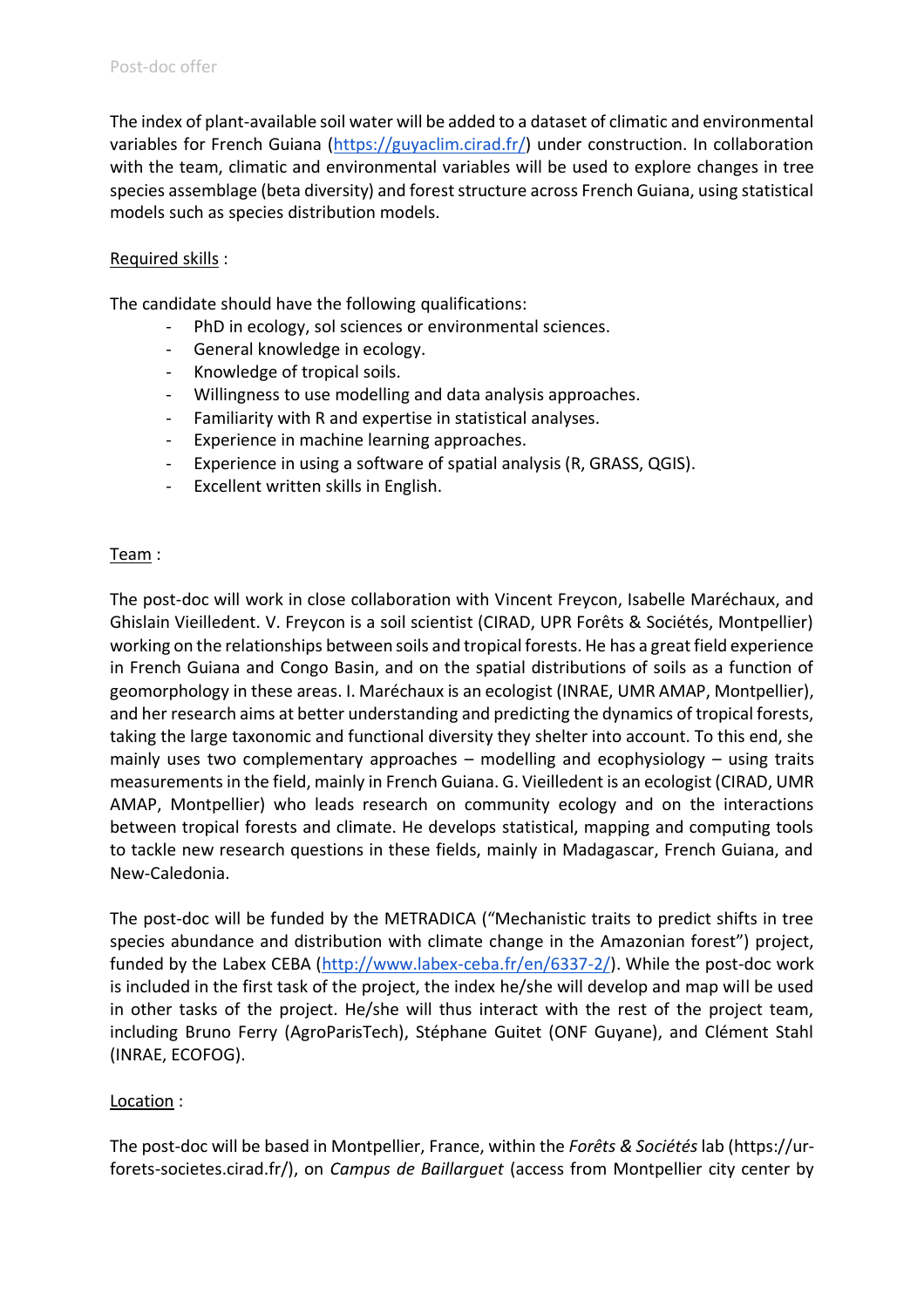The index of plant-available soil water will be added to a dataset of climatic and environmental variables for French Guiana [\(https://guyaclim.cirad.fr/\)](https://guyaclim.cirad.fr/) under construction. In collaboration with the team, climatic and environmental variables will be used to explore changes in tree species assemblage (beta diversity) and forest structure across French Guiana, using statistical models such as species distribution models.

## Required skills :

The candidate should have the following qualifications:

- PhD in ecology, sol sciences or environmental sciences.
- General knowledge in ecology.
- Knowledge of tropical soils.
- Willingness to use modelling and data analysis approaches.
- Familiarity with R and expertise in statistical analyses.
- Experience in machine learning approaches.
- Experience in using a software of spatial analysis (R, GRASS, QGIS).
- Excellent written skills in English.

## Team :

The post-doc will work in close collaboration with Vincent Freycon, Isabelle Maréchaux, and Ghislain Vieilledent. V. Freycon is a soil scientist (CIRAD, UPR Forêts & Sociétés, Montpellier) working on the relationships between soils and tropical forests. He has a great field experience in French Guiana and Congo Basin, and on the spatial distributions of soils as a function of geomorphology in these areas. I. Maréchaux is an ecologist (INRAE, UMR AMAP, Montpellier), and her research aims at better understanding and predicting the dynamics of tropical forests, taking the large taxonomic and functional diversity they shelter into account. To this end, she mainly uses two complementary approaches – modelling and ecophysiology – using traits measurements in the field, mainly in French Guiana. G. Vieilledent is an ecologist (CIRAD, UMR AMAP, Montpellier) who leads research on community ecology and on the interactions between tropical forests and climate. He develops statistical, mapping and computing tools to tackle new research questions in these fields, mainly in Madagascar, French Guiana, and New-Caledonia.

The post-doc will be funded by the METRADICA ("Mechanistic traits to predict shifts in tree species abundance and distribution with climate change in the Amazonian forest") project, funded by the Labex CEBA [\(http://www.labex-ceba.fr/en/6337-2/\)](http://www.labex-ceba.fr/en/6337-2/). While the post-doc work is included in the first task of the project, the index he/she will develop and map will be used in other tasks of the project. He/she will thus interact with the rest of the project team, including Bruno Ferry (AgroParisTech), Stéphane Guitet (ONF Guyane), and Clément Stahl (INRAE, ECOFOG).

## Location :

The post-doc will be based in Montpellier, France, within the *Forêts & Sociétés* lab (https://urforets-societes.cirad.fr/), on *Campus de Baillarguet* (access from Montpellier city center by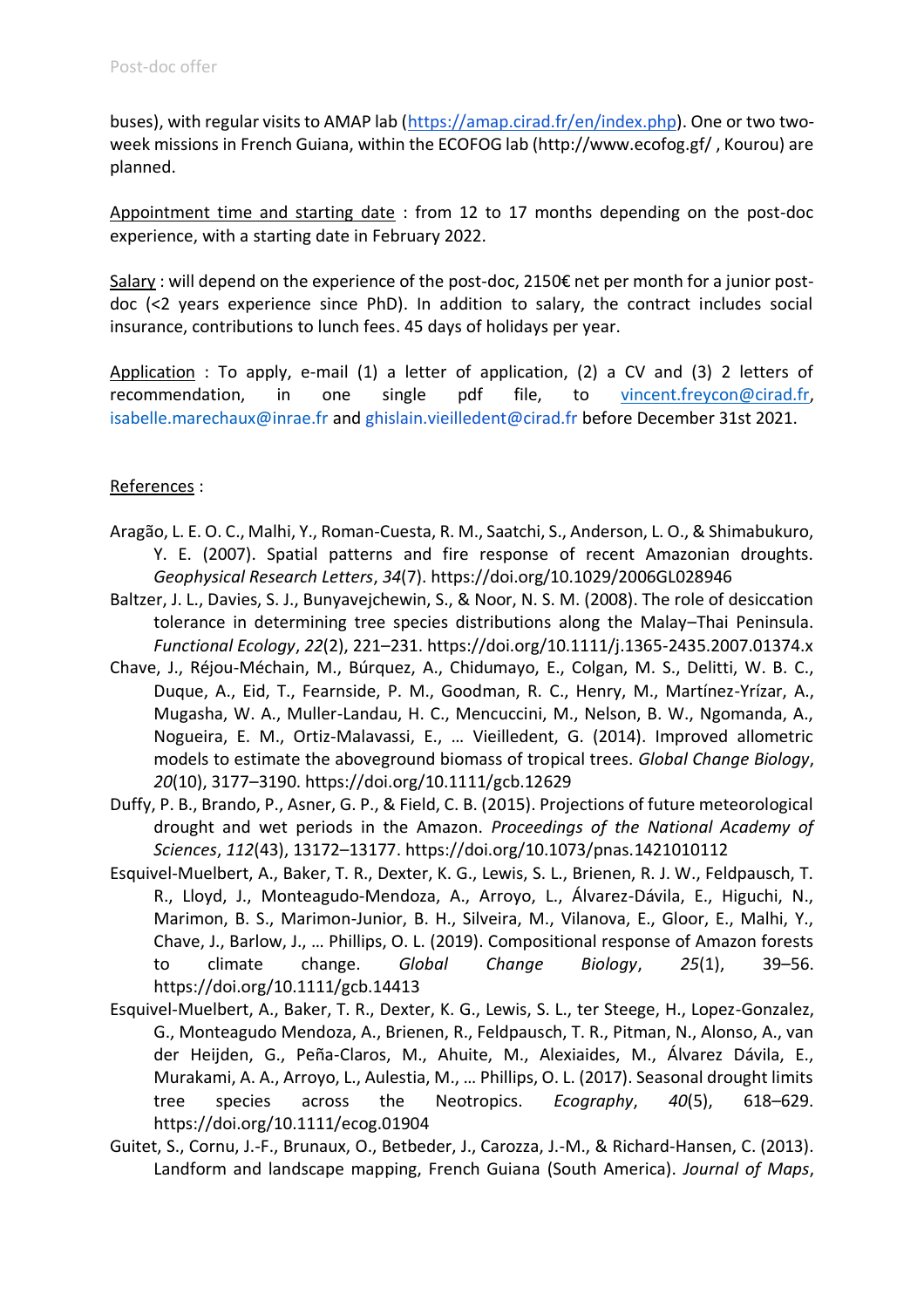buses), with regular visits to AMAP lab [\(https://amap.cirad.fr/en/index.php\)](https://amap.cirad.fr/en/index.php). One or two twoweek missions in French Guiana, within the ECOFOG lab (http://www.ecofog.gf/ , Kourou) are planned.

Appointment time and starting date : from 12 to 17 months depending on the post-doc experience, with a starting date in February 2022.

Salary : will depend on the experience of the post-doc, 2150€ net per month for a junior postdoc (<2 years experience since PhD). In addition to salary, the contract includes social insurance, contributions to lunch fees. 45 days of holidays per year.

Application : To apply, e-mail (1) a letter of application, (2) a CV and (3) 2 letters of recommendation, in one single pdf file, to vincent.freycon@cirad.fr, isabelle.marechaux@inrae.fr and ghislain.vieilledent@cirad.fr before December 31st 2021.

#### References :

- Aragão, L. E. O. C., Malhi, Y., Roman‐Cuesta, R. M., Saatchi, S., Anderson, L. O., & Shimabukuro, Y. E. (2007). Spatial patterns and fire response of recent Amazonian droughts. *Geophysical Research Letters*, *34*(7). https://doi.org/10.1029/2006GL028946
- Baltzer, J. L., Davies, S. J., Bunyavejchewin, S., & Noor, N. S. M. (2008). The role of desiccation tolerance in determining tree species distributions along the Malay–Thai Peninsula. *Functional Ecology*, *22*(2), 221–231. https://doi.org/10.1111/j.1365-2435.2007.01374.x
- Chave, J., Réjou-Méchain, M., Búrquez, A., Chidumayo, E., Colgan, M. S., Delitti, W. B. C., Duque, A., Eid, T., Fearnside, P. M., Goodman, R. C., Henry, M., Martínez-Yrízar, A., Mugasha, W. A., Muller-Landau, H. C., Mencuccini, M., Nelson, B. W., Ngomanda, A., Nogueira, E. M., Ortiz-Malavassi, E., … Vieilledent, G. (2014). Improved allometric models to estimate the aboveground biomass of tropical trees. *Global Change Biology*, *20*(10), 3177–3190. https://doi.org/10.1111/gcb.12629
- Duffy, P. B., Brando, P., Asner, G. P., & Field, C. B. (2015). Projections of future meteorological drought and wet periods in the Amazon. *Proceedings of the National Academy of Sciences*, *112*(43), 13172–13177. https://doi.org/10.1073/pnas.1421010112
- Esquivel‐Muelbert, A., Baker, T. R., Dexter, K. G., Lewis, S. L., Brienen, R. J. W., Feldpausch, T. R., Lloyd, J., Monteagudo‐Mendoza, A., Arroyo, L., Álvarez-Dávila, E., Higuchi, N., Marimon, B. S., Marimon-Junior, B. H., Silveira, M., Vilanova, E., Gloor, E., Malhi, Y., Chave, J., Barlow, J., … Phillips, O. L. (2019). Compositional response of Amazon forests to climate change. *Global Change Biology*, *25*(1), 39–56. https://doi.org/10.1111/gcb.14413
- Esquivel-Muelbert, A., Baker, T. R., Dexter, K. G., Lewis, S. L., ter Steege, H., Lopez-Gonzalez, G., Monteagudo Mendoza, A., Brienen, R., Feldpausch, T. R., Pitman, N., Alonso, A., van der Heijden, G., Peña-Claros, M., Ahuite, M., Alexiaides, M., Álvarez Dávila, E., Murakami, A. A., Arroyo, L., Aulestia, M., … Phillips, O. L. (2017). Seasonal drought limits tree species across the Neotropics. *Ecography*, *40*(5), 618–629. https://doi.org/10.1111/ecog.01904
- Guitet, S., Cornu, J.-F., Brunaux, O., Betbeder, J., Carozza, J.-M., & Richard-Hansen, C. (2013). Landform and landscape mapping, French Guiana (South America). *Journal of Maps*,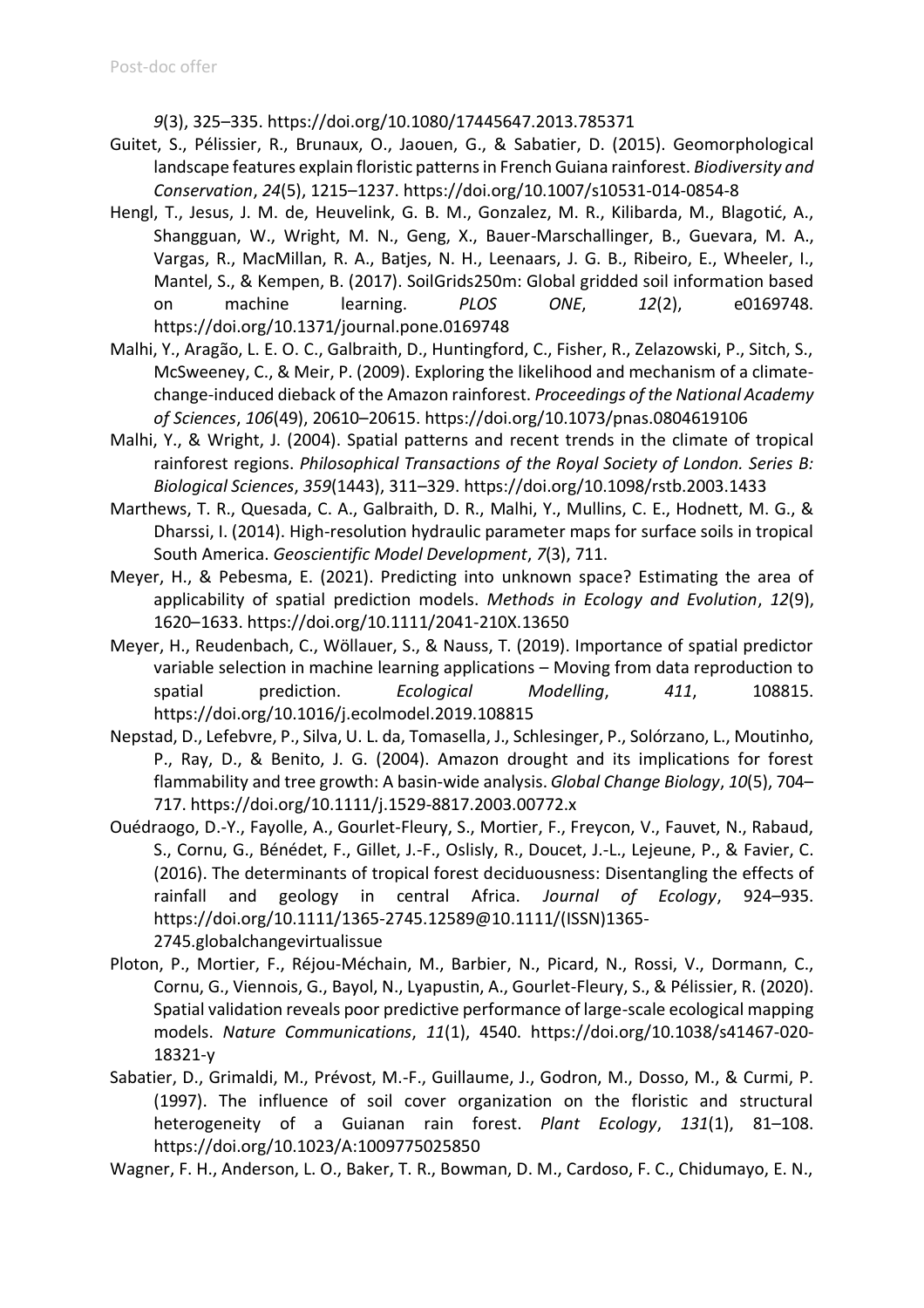*9*(3), 325–335. https://doi.org/10.1080/17445647.2013.785371

- Guitet, S., Pélissier, R., Brunaux, O., Jaouen, G., & Sabatier, D. (2015). Geomorphological landscape features explain floristic patterns in French Guiana rainforest. *Biodiversity and Conservation*, *24*(5), 1215–1237. https://doi.org/10.1007/s10531-014-0854-8
- Hengl, T., Jesus, J. M. de, Heuvelink, G. B. M., Gonzalez, M. R., Kilibarda, M., Blagotić, A., Shangguan, W., Wright, M. N., Geng, X., Bauer-Marschallinger, B., Guevara, M. A., Vargas, R., MacMillan, R. A., Batjes, N. H., Leenaars, J. G. B., Ribeiro, E., Wheeler, I., Mantel, S., & Kempen, B. (2017). SoilGrids250m: Global gridded soil information based on machine learning. *PLOS ONE*, *12*(2), e0169748. https://doi.org/10.1371/journal.pone.0169748
- Malhi, Y., Aragão, L. E. O. C., Galbraith, D., Huntingford, C., Fisher, R., Zelazowski, P., Sitch, S., McSweeney, C., & Meir, P. (2009). Exploring the likelihood and mechanism of a climatechange-induced dieback of the Amazon rainforest. *Proceedings of the National Academy of Sciences*, *106*(49), 20610–20615. https://doi.org/10.1073/pnas.0804619106
- Malhi, Y., & Wright, J. (2004). Spatial patterns and recent trends in the climate of tropical rainforest regions. *Philosophical Transactions of the Royal Society of London. Series B: Biological Sciences*, *359*(1443), 311–329. https://doi.org/10.1098/rstb.2003.1433
- Marthews, T. R., Quesada, C. A., Galbraith, D. R., Malhi, Y., Mullins, C. E., Hodnett, M. G., & Dharssi, I. (2014). High-resolution hydraulic parameter maps for surface soils in tropical South America. *Geoscientific Model Development*, *7*(3), 711.
- Meyer, H., & Pebesma, E. (2021). Predicting into unknown space? Estimating the area of applicability of spatial prediction models. *Methods in Ecology and Evolution*, *12*(9), 1620–1633. https://doi.org/10.1111/2041-210X.13650
- Meyer, H., Reudenbach, C., Wöllauer, S., & Nauss, T. (2019). Importance of spatial predictor variable selection in machine learning applications – Moving from data reproduction to spatial prediction. *Ecological Modelling*, *411*, 108815. https://doi.org/10.1016/j.ecolmodel.2019.108815
- Nepstad, D., Lefebvre, P., Silva, U. L. da, Tomasella, J., Schlesinger, P., Solórzano, L., Moutinho, P., Ray, D., & Benito, J. G. (2004). Amazon drought and its implications for forest flammability and tree growth: A basin-wide analysis. *Global Change Biology*, *10*(5), 704– 717. https://doi.org/10.1111/j.1529-8817.2003.00772.x
- Ouédraogo, D.-Y., Fayolle, A., Gourlet‐Fleury, S., Mortier, F., Freycon, V., Fauvet, N., Rabaud, S., Cornu, G., Bénédet, F., Gillet, J.-F., Oslisly, R., Doucet, J.-L., Lejeune, P., & Favier, C. (2016). The determinants of tropical forest deciduousness: Disentangling the effects of rainfall and geology in central Africa. *Journal of Ecology*, 924–935. https://doi.org/10.1111/1365-2745.12589@10.1111/(ISSN)1365- 2745.globalchangevirtualissue
- Ploton, P., Mortier, F., Réjou-Méchain, M., Barbier, N., Picard, N., Rossi, V., Dormann, C., Cornu, G., Viennois, G., Bayol, N., Lyapustin, A., Gourlet-Fleury, S., & Pélissier, R. (2020). Spatial validation reveals poor predictive performance of large-scale ecological mapping models. *Nature Communications*, *11*(1), 4540. https://doi.org/10.1038/s41467-020- 18321-y
- Sabatier, D., Grimaldi, M., Prévost, M.-F., Guillaume, J., Godron, M., Dosso, M., & Curmi, P. (1997). The influence of soil cover organization on the floristic and structural heterogeneity of a Guianan rain forest. *Plant Ecology*, *131*(1), 81–108. https://doi.org/10.1023/A:1009775025850

Wagner, F. H., Anderson, L. O., Baker, T. R., Bowman, D. M., Cardoso, F. C., Chidumayo, E. N.,